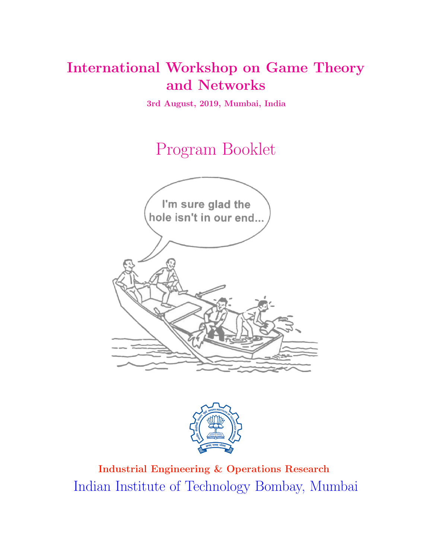# International Workshop on Game Theory and Networks

3rd August, 2019, Mumbai, India

Program Booklet





Industrial Engineering & Operations Research Indian Institute of Technology Bombay, Mumbai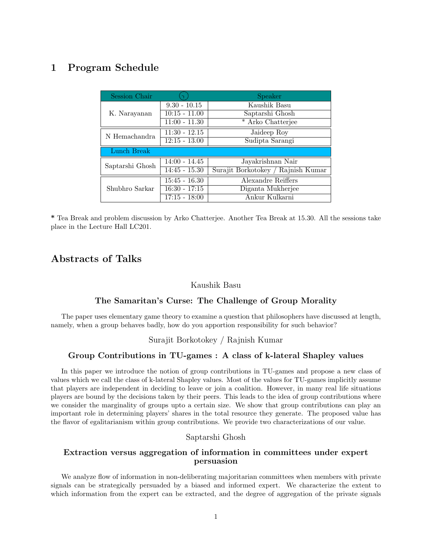# 1 Program Schedule

| Session Chair   |                 | Speaker                            |
|-----------------|-----------------|------------------------------------|
| K. Narayanan    | $9.30 - 10.15$  | Kaushik Basu                       |
|                 | $10:15 - 11.00$ | Saptarshi Ghosh                    |
|                 | $11:00 - 11.30$ | * Arko Chatterjee                  |
| N Hemachandra   | $11:30 - 12.15$ | Jaideep Roy                        |
|                 | $12:15 - 13.00$ | Sudipta Sarangi                    |
| Lunch Break     |                 |                                    |
| Saptarshi Ghosh | $14:00 - 14.45$ | Jayakrishnan Nair                  |
|                 | $14:45 - 15.30$ | Surajit Borkotokey / Rajnish Kumar |
| Shubhro Sarkar  | $15:45 - 16.30$ | Alexandre Reiffers                 |
|                 | $16:30 - 17:15$ | Diganta Mukherjee                  |
|                 | $17:15 - 18:00$ | Ankur Kulkarni                     |

\* Tea Break and problem discussion by Arko Chatterjee. Another Tea Break at 15.30. All the sessions take place in the Lecture Hall LC201.

# Abstracts of Talks

#### Kaushik Basu

# The Samaritan's Curse: The Challenge of Group Morality

The paper uses elementary game theory to examine a question that philosophers have discussed at length, namely, when a group behaves badly, how do you apportion responsibility for such behavior?

# Surajit Borkotokey / Rajnish Kumar

# Group Contributions in TU-games : A class of k-lateral Shapley values

In this paper we introduce the notion of group contributions in TU-games and propose a new class of values which we call the class of k-lateral Shapley values. Most of the values for TU-games implicitly assume that players are independent in deciding to leave or join a coalition. However, in many real life situations players are bound by the decisions taken by their peers. This leads to the idea of group contributions where we consider the marginality of groups upto a certain size. We show that group contributions can play an important role in determining players' shares in the total resource they generate. The proposed value has the flavor of egalitarianism within group contributions. We provide two characterizations of our value.

#### Saptarshi Ghosh

# Extraction versus aggregation of information in committees under expert persuasion

We analyze flow of information in non-deliberating majoritarian committees when members with private signals can be strategically persuaded by a biased and informed expert. We characterize the extent to which information from the expert can be extracted, and the degree of aggregation of the private signals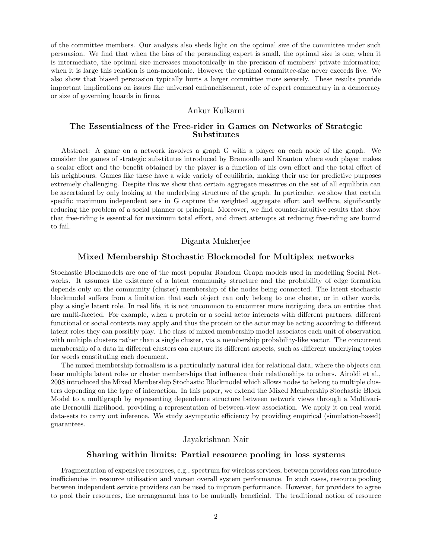of the committee members. Our analysis also sheds light on the optimal size of the committee under such persuasion. We find that when the bias of the persuading expert is small, the optimal size is one; when it is intermediate, the optimal size increases monotonically in the precision of members' private information; when it is large this relation is non-monotonic. However the optimal committee-size never exceeds five. We also show that biased persuasion typically hurts a larger committee more severely. These results provide important implications on issues like universal enfranchisement, role of expert commentary in a democracy or size of governing boards in firms.

#### Ankur Kulkarni

# The Essentialness of the Free-rider in Games on Networks of Strategic Substitutes

Abstract: A game on a network involves a graph G with a player on each node of the graph. We consider the games of strategic substitutes introduced by Bramoulle and Kranton where each player makes a scalar effort and the benefit obtained by the player is a function of his own effort and the total effort of his neighbours. Games like these have a wide variety of equilibria, making their use for predictive purposes extremely challenging. Despite this we show that certain aggregate measures on the set of all equilibria can be ascertained by only looking at the underlying structure of the graph. In particular, we show that certain specific maximum independent sets in G capture the weighted aggregate effort and welfare, significantly reducing the problem of a social planner or principal. Moreover, we find counter-intuitive results that show that free-riding is essential for maximum total effort, and direct attempts at reducing free-riding are bound to fail.

# Diganta Mukherjee

#### Mixed Membership Stochastic Blockmodel for Multiplex networks

Stochastic Blockmodels are one of the most popular Random Graph models used in modelling Social Networks. It assumes the existence of a latent community structure and the probability of edge formation depends only on the community (cluster) membership of the nodes being connected. The latent stochastic blockmodel suffers from a limitation that each object can only belong to one cluster, or in other words, play a single latent role. In real life, it is not uncommon to encounter more intriguing data on entities that are multi-faceted. For example, when a protein or a social actor interacts with different partners, different functional or social contexts may apply and thus the protein or the actor may be acting according to different latent roles they can possibly play. The class of mixed membership model associates each unit of observation with multiple clusters rather than a single cluster, via a membership probability-like vector. The concurrent membership of a data in different clusters can capture its different aspects, such as different underlying topics for words constituting each document.

The mixed membership formalism is a particularly natural idea for relational data, where the objects can bear multiple latent roles or cluster memberships that influence their relationships to others. Airoldi et al., 2008 introduced the Mixed Membership Stochastic Blockmodel which allows nodes to belong to multiple clusters depending on the type of interaction. In this paper, we extend the Mixed Membership Stochastic Block Model to a multigraph by representing dependence structure between network views through a Multivariate Bernoulli likelihood, providing a representation of between-view association. We apply it on real world data-sets to carry out inference. We study asymptotic efficiency by providing empirical (simulation-based) guarantees.

# Jayakrishnan Nair

#### Sharing within limits: Partial resource pooling in loss systems

Fragmentation of expensive resources, e.g., spectrum for wireless services, between providers can introduce inefficiencies in resource utilisation and worsen overall system performance. In such cases, resource pooling between independent service providers can be used to improve performance. However, for providers to agree to pool their resources, the arrangement has to be mutually beneficial. The traditional notion of resource